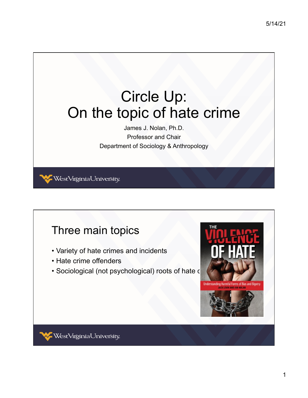## Circle Up: On the topic of hate crime

James J. Nolan, Ph.D. Professor and Chair Department of Sociology & Anthropology

WestVirginiaUniversity

## Three main topics

- Variety of hate crimes and incidents
- Hate crime offenders
- Sociological (not psychological) roots of hate c

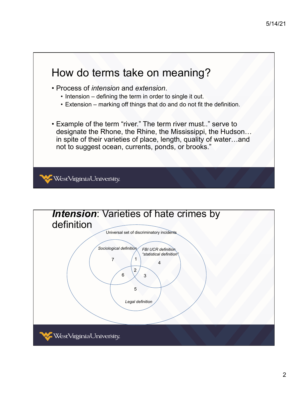

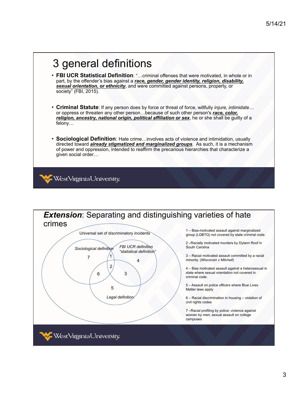

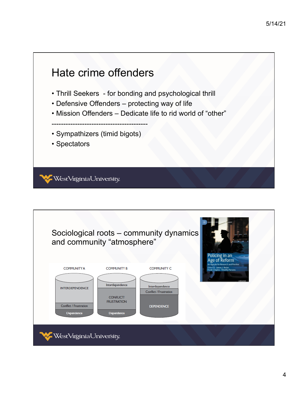

| and community "atmosphere"                                            |                                                      | Sociological roots – community dynamics                               | Policing in an<br>Age of Reform                                                                                   |
|-----------------------------------------------------------------------|------------------------------------------------------|-----------------------------------------------------------------------|-------------------------------------------------------------------------------------------------------------------|
| <b>COMMUNITY A</b>                                                    | <b>COMMUNITY B</b><br>Interdependence                | <b>COMMUNITY C</b>                                                    | An Agenda for Research and Practice<br><b>Edited by James J. Nolan</b><br><b>Frank Crispino - Timothy Parsons</b> |
| <b>INTERDEPENDENCE</b><br><b>Conflict / Frustration</b><br>Dependence | <b>CONFLICT/</b><br><b>FRUSTRATION</b><br>Dependence | Interdependence<br><b>Conflict / Frustration</b><br><b>DEPENDENCE</b> |                                                                                                                   |
| WestVirginiaUniversity.                                               |                                                      |                                                                       |                                                                                                                   |